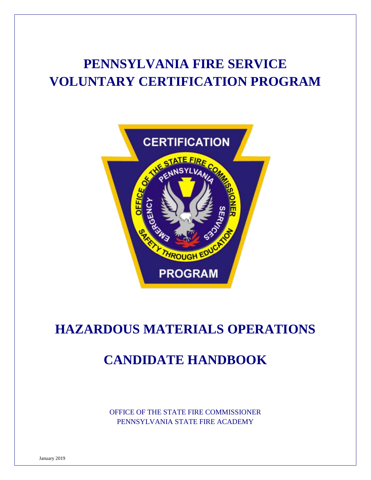# **PENNSYLVANIA FIRE SERVICE VOLUNTARY CERTIFICATION PROGRAM**



# **HAZARDOUS MATERIALS OPERATIONS**

# **CANDIDATE HANDBOOK**

OFFICE OF THE STATE FIRE COMMISSIONER PENNSYLVANIA STATE FIRE ACADEMY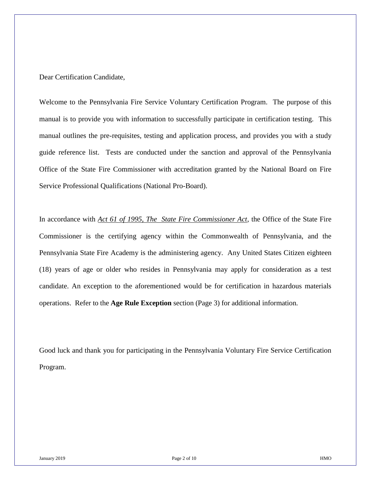# Dear Certification Candidate,

Welcome to the Pennsylvania Fire Service Voluntary Certification Program. The purpose of this manual is to provide you with information to successfully participate in certification testing. This manual outlines the pre-requisites, testing and application process, and provides you with a study guide reference list. Tests are conducted under the sanction and approval of the Pennsylvania Office of the State Fire Commissioner with accreditation granted by the National Board on Fire Service Professional Qualifications (National Pro-Board).

In accordance with *Act 61 of 1995, The State Fire Commissioner Act*, the Office of the State Fire Commissioner is the certifying agency within the Commonwealth of Pennsylvania, and the Pennsylvania State Fire Academy is the administering agency. Any United States Citizen eighteen (18) years of age or older who resides in Pennsylvania may apply for consideration as a test candidate. An exception to the aforementioned would be for certification in hazardous materials operations. Refer to the **Age Rule Exception** section (Page 3) for additional information.

Good luck and thank you for participating in the Pennsylvania Voluntary Fire Service Certification Program.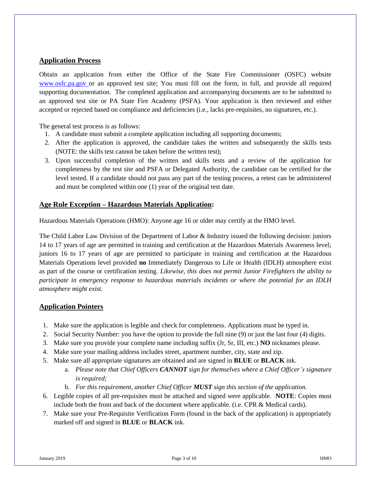# **Application Process**

Obtain an application from either the Office of the State Fire Commissioner (OSFC) website www.osfc.pa.gov or an approved test site; You must fill out the form, in full, and provide all required supporting documentation. The completed application and accompanying documents are to be submitted to an approved test site or PA State Fire Academy (PSFA). Your application is then reviewed and either accepted or rejected based on compliance and deficiencies (i.e., lacks pre-requisites, no signatures, etc.).

The general test process is as follows:

- 1. A candidate must submit a complete application including all supporting documents;
- 2. After the application is approved, the candidate takes the written and subsequently the skills tests (NOTE: the skills test cannot be taken before the written test);
- 3. Upon successful completion of the written and skills tests and a review of the application for completeness by the test site and PSFA or Delegated Authority, the candidate can be certified for the level tested. If a candidate should not pass any part of the testing process, a retest can be administered and must be completed within one (1) year of the original test date.

# **Age Rule Exception – Hazardous Materials Application:**

Hazardous Materials Operations (HMO): Anyone age 16 or older may certify at the HMO level.

The Child Labor Law Division of the Department of Labor & Industry issued the following decision: juniors 14 to 17 years of age are permitted in training and certification at the Hazardous Materials Awareness level; juniors 16 to 17 years of age are permitted to participate in training and certification at the Hazardous Materials Operations level provided **no** Immediately Dangerous to Life or Health (IDLH) atmosphere exist as part of the course or certification testing. *Likewise, this does not permit Junior Firefighters the ability to participate in emergency response to hazardous materials incidents or where the potential for an IDLH atmosphere might exist.*

# **Application Pointers**

- 1. Make sure the application is legible and check for completeness. Applications must be typed in.
- 2. Social Security Number: you have the option to provide the full nine (9) or just the last four (4) digits.
- 3. Make sure you provide your complete name including suffix (Jr, Sr, III, etc.) **NO** nicknames please.
- 4. Make sure your mailing address includes street, apartment number, city, state and zip.
- 5. Make sure all appropriate signatures are obtained and are signed in **BLUE** or **BLACK** ink.
	- a. *Please note that Chief Officers CANNOT sign for themselves where a Chief Officer's signature is required;*
	- b. *For this requirement, another Chief Officer MUST sign this section of the application.*
- 6. Legible copies of all pre-requisites must be attached and signed were applicable. **NOTE**: Copies must include both the front and back of the document where applicable. (i.e. CPR & Medical cards).
- 7. Make sure your Pre-Requisite Verification Form (found in the back of the application) is appropriately marked off and signed in **BLUE** or **BLACK** ink.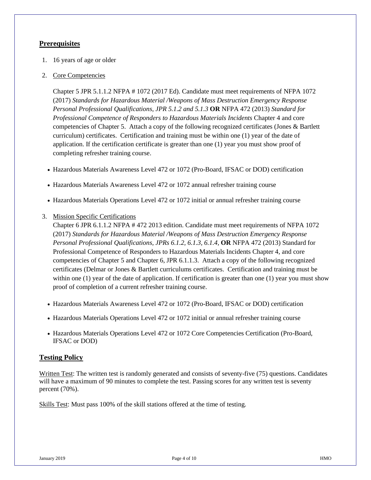# **Prerequisites**

- 1. 16 years of age or older
- 2. Core Competencies

Chapter 5 JPR 5.1.1.2 NFPA # 1072 (2017 Ed). Candidate must meet requirements of NFPA 1072 (2017) *Standards for Hazardous Material /Weapons of Mass Destruction Emergency Response Personal Professional Qualifications, JPR 5.1.2 and 5.1.3* **OR** NFPA 472 (2013) *Standard for Professional Competence of Responders to Hazardous Materials Incidents* Chapter 4 and core competencies of Chapter 5. Attach a copy of the following recognized certificates (Jones & Bartlett curriculum) certificates. Certification and training must be within one (1) year of the date of application. If the certification certificate is greater than one (1) year you must show proof of completing refresher training course.

- Hazardous Materials Awareness Level 472 or 1072 (Pro-Board, IFSAC or DOD) certification
- Hazardous Materials Awareness Level 472 or 1072 annual refresher training course
- Hazardous Materials Operations Level 472 or 1072 initial or annual refresher training course
- 3. Mission Specific Certifications

Chapter 6 JPR 6.1.1.2 NFPA # 472 2013 edition. Candidate must meet requirements of NFPA 1072 (2017) *Standards for Hazardous Material /Weapons of Mass Destruction Emergency Response Personal Professional Qualifications, JPRs 6.1.2, 6.1.3, 6.1.4,* **OR** NFPA 472 (2013) Standard for Professional Competence of Responders to Hazardous Materials Incidents Chapter 4, and core competencies of Chapter 5 and Chapter 6, JPR 6.1.1.3. Attach a copy of the following recognized certificates (Delmar or Jones & Bartlett curriculums certificates. Certification and training must be within one (1) year of the date of application. If certification is greater than one (1) year you must show proof of completion of a current refresher training course.

- Hazardous Materials Awareness Level 472 or 1072 (Pro-Board, IFSAC or DOD) certification
- Hazardous Materials Operations Level 472 or 1072 initial or annual refresher training course
- Hazardous Materials Operations Level 472 or 1072 Core Competencies Certification (Pro-Board, IFSAC or DOD)

# **Testing Policy**

Written Test: The written test is randomly generated and consists of seventy-five (75) questions. Candidates will have a maximum of 90 minutes to complete the test. Passing scores for any written test is seventy percent (70%).

Skills Test: Must pass 100% of the skill stations offered at the time of testing.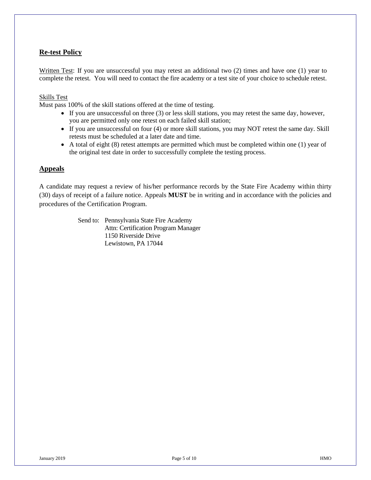# **Re-test Policy**

Written Test: If you are unsuccessful you may retest an additional two (2) times and have one (1) year to complete the retest. You will need to contact the fire academy or a test site of your choice to schedule retest.

#### Skills Test

Must pass 100% of the skill stations offered at the time of testing.

- If you are unsuccessful on three (3) or less skill stations, you may retest the same day, however, you are permitted only one retest on each failed skill station;
- If you are unsuccessful on four (4) or more skill stations, you may NOT retest the same day. Skill retests must be scheduled at a later date and time.
- A total of eight (8) retest attempts are permitted which must be completed within one (1) year of the original test date in order to successfully complete the testing process.

# **Appeals**

A candidate may request a review of his/her performance records by the State Fire Academy within thirty (30) days of receipt of a failure notice. Appeals **MUST** be in writing and in accordance with the policies and procedures of the Certification Program.

> Send to: Pennsylvania State Fire Academy Attn: Certification Program Manager 1150 Riverside Drive Lewistown, PA 17044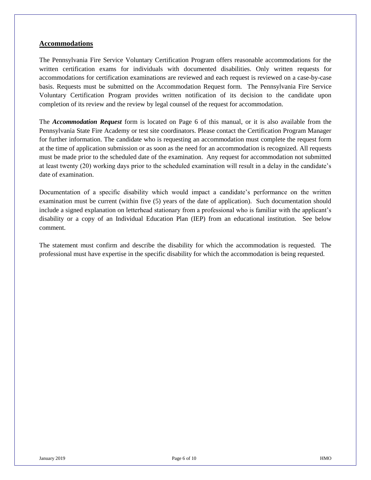# **Accommodations**

The Pennsylvania Fire Service Voluntary Certification Program offers reasonable accommodations for the written certification exams for individuals with documented disabilities. Only written requests for accommodations for certification examinations are reviewed and each request is reviewed on a case-by-case basis. Requests must be submitted on the Accommodation Request form. The Pennsylvania Fire Service Voluntary Certification Program provides written notification of its decision to the candidate upon completion of its review and the review by legal counsel of the request for accommodation.

The *Accommodation Request* form is located on Page 6 of this manual, or it is also available from the Pennsylvania State Fire Academy or test site coordinators. Please contact the Certification Program Manager for further information. The candidate who is requesting an accommodation must complete the request form at the time of application submission or as soon as the need for an accommodation is recognized. All requests must be made prior to the scheduled date of the examination. Any request for accommodation not submitted at least twenty (20) working days prior to the scheduled examination will result in a delay in the candidate's date of examination.

Documentation of a specific disability which would impact a candidate's performance on the written examination must be current (within five (5) years of the date of application). Such documentation should include a signed explanation on letterhead stationary from a professional who is familiar with the applicant's disability or a copy of an Individual Education Plan (IEP) from an educational institution. See below comment.

The statement must confirm and describe the disability for which the accommodation is requested. The professional must have expertise in the specific disability for which the accommodation is being requested.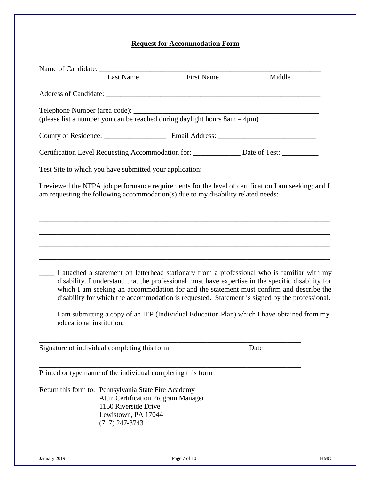# **Request for Accommodation Form**

|                                                             | <b>Last Name</b>                                                                                       | <b>First Name</b>                                                                | Middle                                                                                                                                                                                                                                                                                                                                                                                       |
|-------------------------------------------------------------|--------------------------------------------------------------------------------------------------------|----------------------------------------------------------------------------------|----------------------------------------------------------------------------------------------------------------------------------------------------------------------------------------------------------------------------------------------------------------------------------------------------------------------------------------------------------------------------------------------|
|                                                             |                                                                                                        |                                                                                  |                                                                                                                                                                                                                                                                                                                                                                                              |
|                                                             |                                                                                                        |                                                                                  |                                                                                                                                                                                                                                                                                                                                                                                              |
|                                                             |                                                                                                        |                                                                                  |                                                                                                                                                                                                                                                                                                                                                                                              |
|                                                             |                                                                                                        |                                                                                  | Certification Level Requesting Accommodation for: ______________ Date of Test: ___________                                                                                                                                                                                                                                                                                                   |
|                                                             |                                                                                                        |                                                                                  |                                                                                                                                                                                                                                                                                                                                                                                              |
|                                                             |                                                                                                        | am requesting the following accommodation(s) due to my disability related needs: | I reviewed the NFPA job performance requirements for the level of certification I am seeking; and I                                                                                                                                                                                                                                                                                          |
|                                                             |                                                                                                        |                                                                                  |                                                                                                                                                                                                                                                                                                                                                                                              |
|                                                             |                                                                                                        |                                                                                  |                                                                                                                                                                                                                                                                                                                                                                                              |
|                                                             |                                                                                                        |                                                                                  | I attached a statement on letterhead stationary from a professional who is familiar with my<br>disability. I understand that the professional must have expertise in the specific disability for<br>which I am seeking an accommodation for and the statement must confirm and describe the<br>disability for which the accommodation is requested. Statement is signed by the professional. |
| educational institution.                                    |                                                                                                        |                                                                                  | I am submitting a copy of an IEP (Individual Education Plan) which I have obtained from my                                                                                                                                                                                                                                                                                                   |
| Signature of individual completing this form                |                                                                                                        |                                                                                  | Date                                                                                                                                                                                                                                                                                                                                                                                         |
| Printed or type name of the individual completing this form |                                                                                                        |                                                                                  |                                                                                                                                                                                                                                                                                                                                                                                              |
| Return this form to: Pennsylvania State Fire Academy        | Attn: Certification Program Manager<br>1150 Riverside Drive<br>Lewistown, PA 17044<br>$(717)$ 247-3743 |                                                                                  |                                                                                                                                                                                                                                                                                                                                                                                              |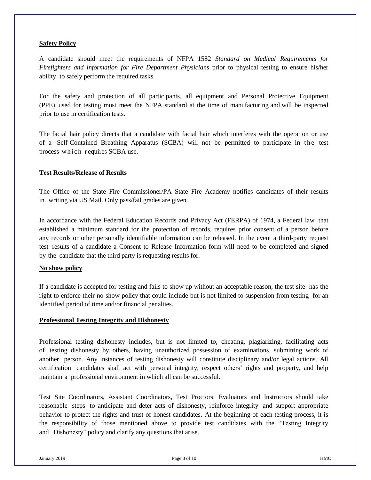# **Safety Policy**

A candidate should meet the requirements of NFPA 1582 *Standard on Medical Requirements for Firefighters and information for Fire Department Physicians* prior to physical testing to ensure his/her ability to safely perform the required tasks.

For the safety and protection of all participants, all equipment and Personal Protective Equipment (PPE) used for testing must meet the NFPA standard at the time of manufacturing and will be inspected prior to use in certification tests.

The facial hair policy directs that a candidate with facial hair which interferes with the operation or use of a Self-Contained Breathing Apparatus (SCBA) will not be permitted to participate in the test process which requires SCBA use.

# **Test Results/Release of Results**

The Office of the State Fire Commissioner/PA State Fire Academy notifies candidates of their results in writing via US Mail. Only pass/fail grades are given.

In accordance with the Federal Education Records and Privacy Act (FERPA) of 1974, a Federal law that established a minimum standard for the protection of records. requires prior consent of a person before any records or other personally identifiable information can be released. In the event a third-party request test results of a candidate a Consent to Release Information form will need to be completed and signed by the candidate that the third party is requesting results for.

# **No show policy**

If a candidate is accepted for testing and fails to show up without an acceptable reason, the test site has the right to enforce their no-show policy that could include but is not limited to suspension from testing for an identified period of time and/or financial penalties.

# **Professional Testing Integrity and Dishonesty**

Professional testing dishonesty includes, but is not limited to, cheating, plagiarizing, facilitating acts of testing dishonesty by others, having unauthorized possession of examinations, submitting work of another person. Any instances of testing dishonesty will constitute disciplinary and/or legal actions. All certification candidates shall act with personal integrity, respect others' rights and property, and help maintain a professional environment in which all can be successful.

Test Site Coordinators, Assistant Coordinators, Test Proctors, Evaluators and Instructors should take reasonable steps to anticipate and deter acts of dishonesty, reinforce integrity and support appropriate behavior to protect the rights and trust of honest candidates. At the beginning of each testing process, it is the responsibility of those mentioned above to provide test candidates with the "Testing Integrity and Dishonesty" policy and clarify any questions that arise.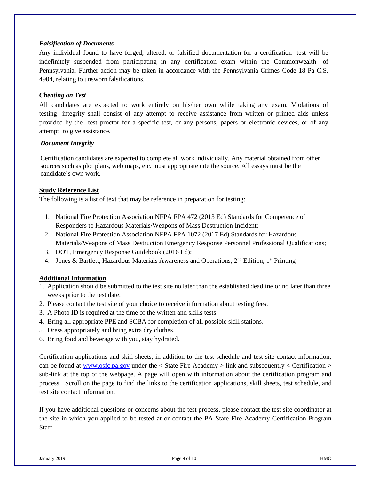# *Falsification of Documents*

Any individual found to have forged, altered, or falsified documentation for a certification test will be indefinitely suspended from participating in any certification exam within the Commonwealth of Pennsylvania. Further action may be taken in accordance with the Pennsylvania Crimes Code 18 Pa C.S. 4904, relating to unsworn falsifications.

# *Cheating on Test*

All candidates are expected to work entirely on his/her own while taking any exam. Violations of testing integrity shall consist of any attempt to receive assistance from written or printed aids unless provided by the test proctor for a specific test, or any persons, papers or electronic devices, or of any attempt to give assistance.

# *Document Integrity*

Certification candidates are expected to complete all work individually. Any material obtained from other sources such as plot plans, web maps, etc. must appropriate cite the source. All essays must be the candidate's own work.

# **Study Reference List**

The following is a list of text that may be reference in preparation for testing:

- 1. National Fire Protection Association NFPA FPA 472 (2013 Ed) Standards for Competence of Responders to Hazardous Materials/Weapons of Mass Destruction Incident;
- 2. National Fire Protection Association NFPA FPA 1072 (2017 Ed) Standards for Hazardous Materials/Weapons of Mass Destruction Emergency Response Personnel Professional Qualifications;
- 3. DOT, Emergency Response Guidebook (2016 Ed);
- 4. Jones & Bartlett, Hazardous Materials Awareness and Operations, 2<sup>nd</sup> Edition, 1<sup>st</sup> Printing

# **Additional Information**:

- 1. Application should be submitted to the test site no later than the established deadline or no later than three weeks prior to the test date.
- 2. Please contact the test site of your choice to receive information about testing fees.
- 3. A Photo ID is required at the time of the written and skills tests.
- 4. Bring all appropriate PPE and SCBA for completion of all possible skill stations.
- 5. Dress appropriately and bring extra dry clothes.
- 6. Bring food and beverage with you, stay hydrated.

Certification applications and skill sheets, in addition to the test schedule and test site contact information, can be found at [www.osfc.pa.gov](http://www.osfc.pa.gov/) under the  $\lt$  State Fire Academy  $>$  link and subsequently  $\lt$  Certification  $>$ sub-link at the top of the webpage. A page will open with information about the certification program and process. Scroll on the page to find the links to the certification applications, skill sheets, test schedule, and test site contact information.

If you have additional questions or concerns about the test process, please contact the test site coordinator at the site in which you applied to be tested at or contact the PA State Fire Academy Certification Program Staff.